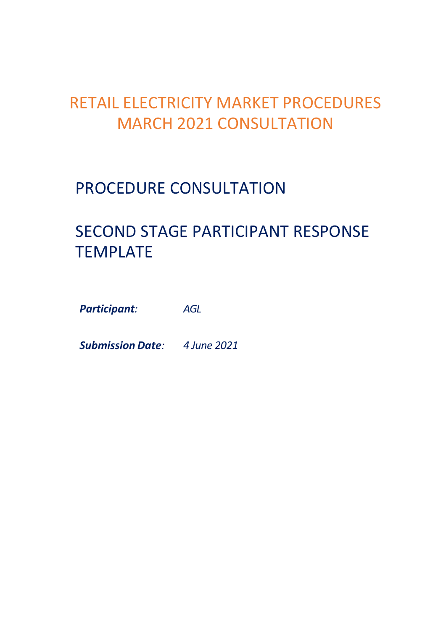## RETAIL ELECTRICITY MARKET PROCEDURES MARCH 2021 CONSULTATION

### PROCEDURE CONSULTATION

# SECOND STAGE PARTICIPANT RESPONSE TEMPLATE

*Participant: AGL*

*Submission Date: 4 June 2021*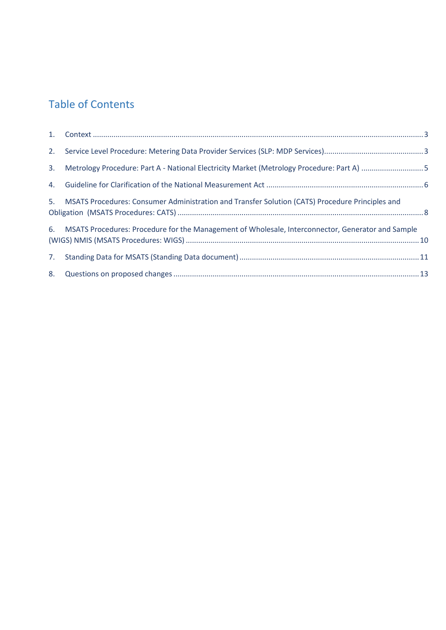#### Table of Contents

| 3. Metrology Procedure: Part A - National Electricity Market (Metrology Procedure: Part A) 5         |  |
|------------------------------------------------------------------------------------------------------|--|
|                                                                                                      |  |
| 5. MSATS Procedures: Consumer Administration and Transfer Solution (CATS) Procedure Principles and   |  |
| 6. MSATS Procedures: Procedure for the Management of Wholesale, Interconnector, Generator and Sample |  |
|                                                                                                      |  |
|                                                                                                      |  |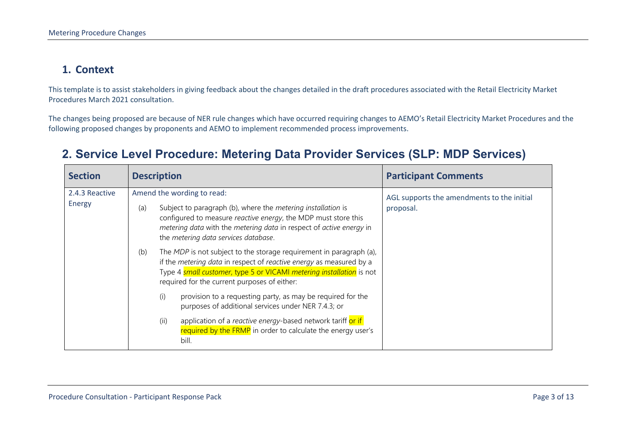#### **1. Context**

This template is to assist stakeholders in giving feedback about the changes detailed in the draft procedures associated with the Retail Electricity Market Procedures March 2021 consultation.

The changes being proposed are because of NER rule changes which have occurred requiring changes to AEMO's Retail Electricity Market Procedures and the following proposed changes by proponents and AEMO to implement recommended process improvements.

<span id="page-2-1"></span><span id="page-2-0"></span>

| <b>Section</b>           |                                                                                                                                                                                                                                                                                           | <b>Description</b>                                                                                                                                                                                                                                                 | <b>Participant Comments</b>                             |
|--------------------------|-------------------------------------------------------------------------------------------------------------------------------------------------------------------------------------------------------------------------------------------------------------------------------------------|--------------------------------------------------------------------------------------------------------------------------------------------------------------------------------------------------------------------------------------------------------------------|---------------------------------------------------------|
| 2.4.3 Reactive<br>Energy | Amend the wording to read:<br>Subject to paragraph (b), where the <i>metering installation</i> is<br>(a)<br>configured to measure reactive energy, the MDP must store this<br>metering data with the metering data in respect of active energy in<br>the metering data services database. |                                                                                                                                                                                                                                                                    | AGL supports the amendments to the initial<br>proposal. |
| (b)                      |                                                                                                                                                                                                                                                                                           | The MDP is not subject to the storage requirement in paragraph (a),<br>if the metering data in respect of reactive energy as measured by a<br>Type 4 small customer, type 5 or VICAMI metering installation is not<br>required for the current purposes of either: |                                                         |
|                          |                                                                                                                                                                                                                                                                                           | provision to a requesting party, as may be required for the<br>(i)<br>purposes of additional services under NER 7.4.3; or                                                                                                                                          |                                                         |
|                          |                                                                                                                                                                                                                                                                                           | application of a reactive energy-based network tariff or if<br>(ii)<br>required by the FRMP in order to calculate the energy user's<br>bill.                                                                                                                       |                                                         |

#### **2. Service Level Procedure: Metering Data Provider Services (SLP: MDP Services)**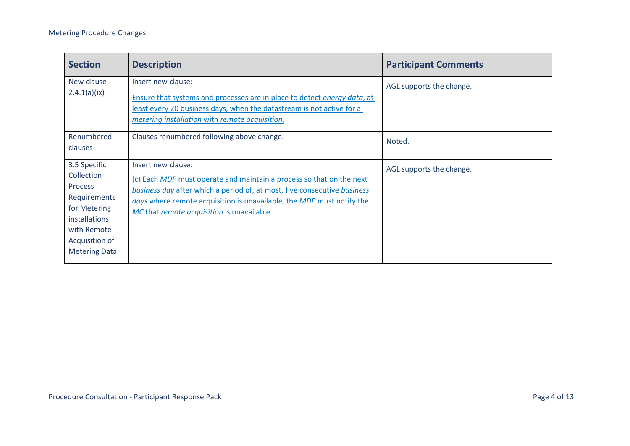| <b>Section</b>                                                                                                                                                | <b>Description</b>                                                                                                                                                                                                                                                                            | <b>Participant Comments</b> |
|---------------------------------------------------------------------------------------------------------------------------------------------------------------|-----------------------------------------------------------------------------------------------------------------------------------------------------------------------------------------------------------------------------------------------------------------------------------------------|-----------------------------|
| New clause<br>2.4.1(a)(ix)                                                                                                                                    | Insert new clause:<br>Ensure that systems and processes are in place to detect energy data, at<br>least every 20 business days, when the datastream is not active for a<br>metering installation with remote acquisition.                                                                     | AGL supports the change.    |
| Renumbered<br>clauses                                                                                                                                         | Clauses renumbered following above change.                                                                                                                                                                                                                                                    | Noted.                      |
| 3.5 Specific<br>Collection<br><b>Process</b><br>Requirements<br>for Metering<br><i>installations</i><br>with Remote<br>Acquisition of<br><b>Metering Data</b> | Insert new clause:<br>(c) Each MDP must operate and maintain a process so that on the next<br>business day after which a period of, at most, five consecutive business<br>days where remote acquisition is unavailable, the MDP must notify the<br>MC that remote acquisition is unavailable. | AGL supports the change.    |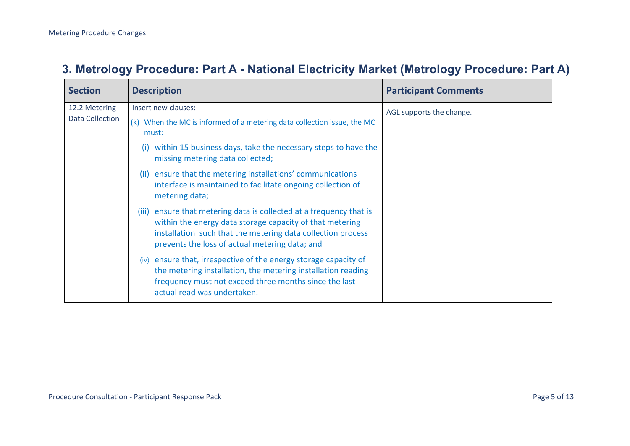#### **3. Metrology Procedure: Part A - National Electricity Market (Metrology Procedure: Part A)**

<span id="page-4-0"></span>

| <b>Section</b>         | <b>Description</b>                                                                                                                                                                                                                               | <b>Participant Comments</b> |
|------------------------|--------------------------------------------------------------------------------------------------------------------------------------------------------------------------------------------------------------------------------------------------|-----------------------------|
| 12.2 Metering          | Insert new clauses:                                                                                                                                                                                                                              | AGL supports the change.    |
| <b>Data Collection</b> | (k) When the MC is informed of a metering data collection issue, the MC<br>must:                                                                                                                                                                 |                             |
|                        | within 15 business days, take the necessary steps to have the<br>(i)<br>missing metering data collected;                                                                                                                                         |                             |
|                        | (ii) ensure that the metering installations' communications<br>interface is maintained to facilitate ongoing collection of<br>metering data;                                                                                                     |                             |
|                        | (iii) ensure that metering data is collected at a frequency that is<br>within the energy data storage capacity of that metering<br>installation such that the metering data collection process<br>prevents the loss of actual metering data; and |                             |
|                        | (iv) ensure that, irrespective of the energy storage capacity of<br>the metering installation, the metering installation reading<br>frequency must not exceed three months since the last<br>actual read was undertaken.                         |                             |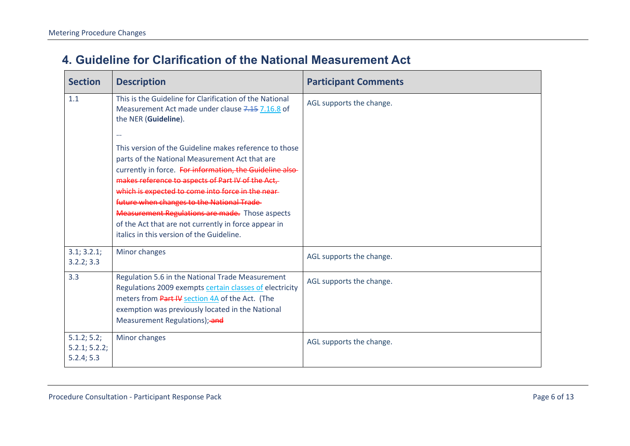#### **4. Guideline for Clarification of the National Measurement Act**

<span id="page-5-0"></span>

| <b>Section</b>                             | <b>Description</b>                                                                                                                                                                                                                                                                                                                                                                                                                                                                                                                                                                                                                             | <b>Participant Comments</b> |
|--------------------------------------------|------------------------------------------------------------------------------------------------------------------------------------------------------------------------------------------------------------------------------------------------------------------------------------------------------------------------------------------------------------------------------------------------------------------------------------------------------------------------------------------------------------------------------------------------------------------------------------------------------------------------------------------------|-----------------------------|
| 1.1                                        | This is the Guideline for Clarification of the National<br>Measurement Act made under clause 7.15 7.16.8 of<br>the NER (Guideline).<br>$\cdots$<br>This version of the Guideline makes reference to those<br>parts of the National Measurement Act that are<br>currently in force. For information, the Guideline also-<br>makes reference to aspects of Part IV of the Act,<br>which is expected to come into force in the near-<br>future when changes to the National Trade-<br><b>Measurement Regulations are made.</b> Those aspects<br>of the Act that are not currently in force appear in<br>italics in this version of the Guideline. | AGL supports the change.    |
| 3.1; 3.2.1;<br>3.2.2; 3.3                  | Minor changes                                                                                                                                                                                                                                                                                                                                                                                                                                                                                                                                                                                                                                  | AGL supports the change.    |
| 3.3                                        | Regulation 5.6 in the National Trade Measurement<br>Regulations 2009 exempts certain classes of electricity<br>meters from Part IV section 4A of the Act. (The<br>exemption was previously located in the National<br>Measurement Regulations); and                                                                                                                                                                                                                                                                                                                                                                                            | AGL supports the change.    |
| 5.1.2; 5.2;<br>5.2.1; 5.2.2;<br>5.2.4; 5.3 | Minor changes                                                                                                                                                                                                                                                                                                                                                                                                                                                                                                                                                                                                                                  | AGL supports the change.    |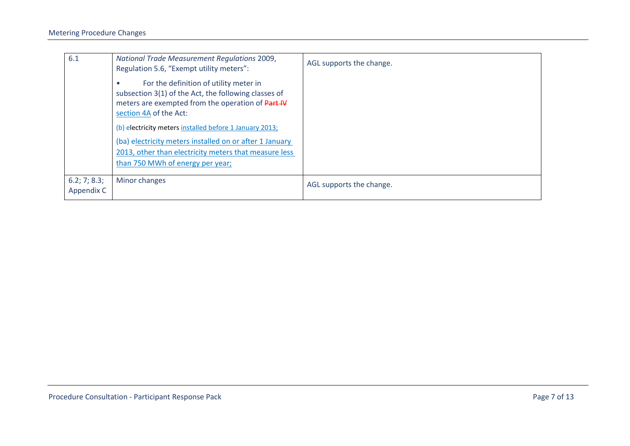| 6.1                        | National Trade Measurement Regulations 2009,<br>Regulation 5.6, "Exempt utility meters":                                                                                      | AGL supports the change. |
|----------------------------|-------------------------------------------------------------------------------------------------------------------------------------------------------------------------------|--------------------------|
|                            | For the definition of utility meter in<br>subsection 3(1) of the Act, the following classes of<br>meters are exempted from the operation of Part IV<br>section 4A of the Act: |                          |
|                            | (b) electricity meters installed before 1 January 2013;                                                                                                                       |                          |
|                            | (ba) electricity meters installed on or after 1 January<br>2013, other than electricity meters that measure less<br>than 750 MWh of energy per year;                          |                          |
| 6.2; 7; 8.3;<br>Appendix C | Minor changes                                                                                                                                                                 | AGL supports the change. |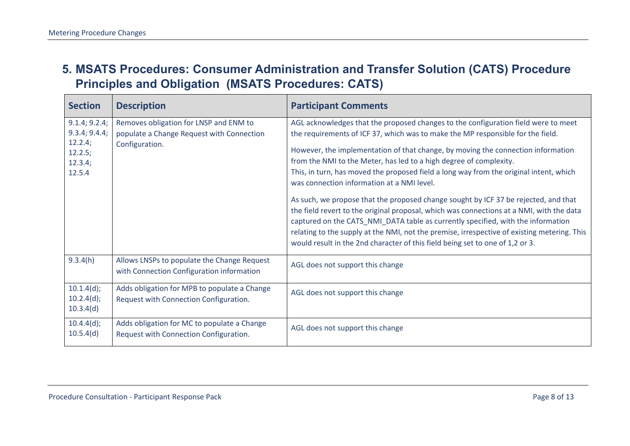#### **5. MSATS Procedures: Consumer Administration and Transfer Solution (CATS) Procedure Principles and Obligation (MSATS Procedures: CATS)**

<span id="page-7-0"></span>

| <b>Section</b>                                                            | <b>Description</b>                                                                                    | <b>Participant Comments</b>                                                                                                                                                                                                                                                                                                                                                                                                                                                                                                                                                                                                                                                                                                                                                                                                                                                                                                    |
|---------------------------------------------------------------------------|-------------------------------------------------------------------------------------------------------|--------------------------------------------------------------------------------------------------------------------------------------------------------------------------------------------------------------------------------------------------------------------------------------------------------------------------------------------------------------------------------------------------------------------------------------------------------------------------------------------------------------------------------------------------------------------------------------------------------------------------------------------------------------------------------------------------------------------------------------------------------------------------------------------------------------------------------------------------------------------------------------------------------------------------------|
| 9.1.4; 9.2.4;<br>9.3.4; 9.4.4;<br>12.2.4;<br>12.2.5;<br>12.3.4;<br>12.5.4 | Removes obligation for LNSP and ENM to<br>populate a Change Request with Connection<br>Configuration. | AGL acknowledges that the proposed changes to the configuration field were to meet<br>the requirements of ICF 37, which was to make the MP responsible for the field.<br>However, the implementation of that change, by moving the connection information<br>from the NMI to the Meter, has led to a high degree of complexity.<br>This, in turn, has moved the proposed field a long way from the original intent, which<br>was connection information at a NMI level.<br>As such, we propose that the proposed change sought by ICF 37 be rejected, and that<br>the field revert to the original proposal, which was connections at a NMI, with the data<br>captured on the CATS_NMI_DATA table as currently specified, with the information<br>relating to the supply at the NMI, not the premise, irrespective of existing metering. This<br>would result in the 2nd character of this field being set to one of 1,2 or 3. |
| 9.3.4(h)                                                                  | Allows LNSPs to populate the Change Request<br>with Connection Configuration information              | AGL does not support this change                                                                                                                                                                                                                                                                                                                                                                                                                                                                                                                                                                                                                                                                                                                                                                                                                                                                                               |
| $10.1.4(d)$ ;<br>$10.2.4(d)$ ;<br>10.3.4(d)                               | Adds obligation for MPB to populate a Change<br>Request with Connection Configuration.                | AGL does not support this change                                                                                                                                                                                                                                                                                                                                                                                                                                                                                                                                                                                                                                                                                                                                                                                                                                                                                               |
| $10.4.4(d)$ ;<br>10.5.4(d)                                                | Adds obligation for MC to populate a Change<br>Request with Connection Configuration.                 | AGL does not support this change                                                                                                                                                                                                                                                                                                                                                                                                                                                                                                                                                                                                                                                                                                                                                                                                                                                                                               |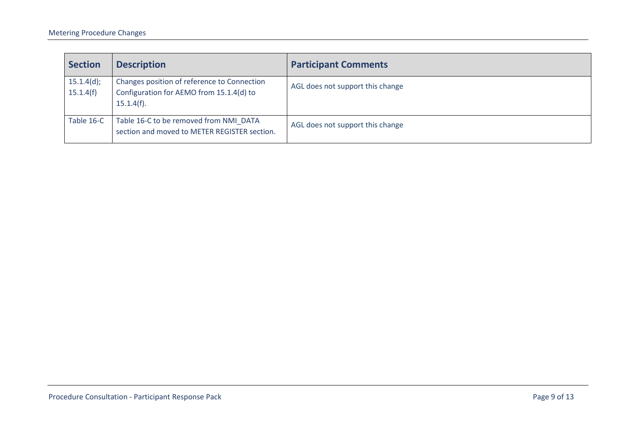| <b>Section</b>          | <b>Description</b>                                                                                       | <b>Participant Comments</b>      |
|-------------------------|----------------------------------------------------------------------------------------------------------|----------------------------------|
| 15.1.4(d);<br>15.1.4(f) | Changes position of reference to Connection<br>Configuration for AEMO from 15.1.4(d) to<br>$15.1.4(f)$ . | AGL does not support this change |
| Table 16-C              | Table 16-C to be removed from NMI DATA<br>section and moved to METER REGISTER section.                   | AGL does not support this change |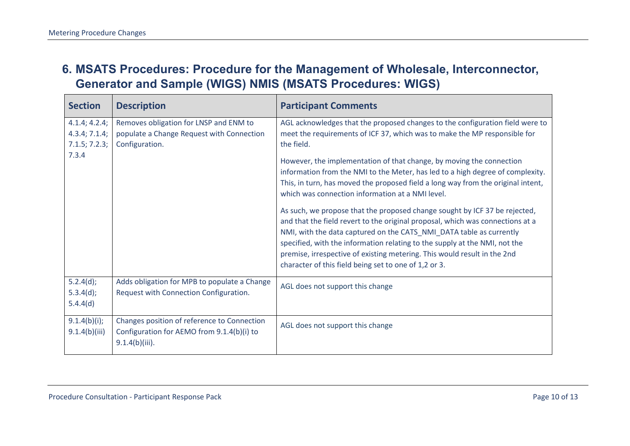#### **6. MSATS Procedures: Procedure for the Management of Wholesale, Interconnector, Generator and Sample (WIGS) NMIS (MSATS Procedures: WIGS)**

<span id="page-9-0"></span>

| <b>Section</b>                                  | <b>Description</b>                                                                                             | <b>Participant Comments</b>                                                                                                                                                                                                                                                                                                                                                                                                                            |
|-------------------------------------------------|----------------------------------------------------------------------------------------------------------------|--------------------------------------------------------------------------------------------------------------------------------------------------------------------------------------------------------------------------------------------------------------------------------------------------------------------------------------------------------------------------------------------------------------------------------------------------------|
| 4.1.4; 4.2.4;<br>4.3.4; 7.1.4;<br>7.1.5; 7.2.3; | Removes obligation for LNSP and ENM to<br>populate a Change Request with Connection<br>Configuration.          | AGL acknowledges that the proposed changes to the configuration field were to<br>meet the requirements of ICF 37, which was to make the MP responsible for<br>the field.                                                                                                                                                                                                                                                                               |
| 7.3.4                                           |                                                                                                                | However, the implementation of that change, by moving the connection<br>information from the NMI to the Meter, has led to a high degree of complexity.<br>This, in turn, has moved the proposed field a long way from the original intent,<br>which was connection information at a NMI level.                                                                                                                                                         |
|                                                 |                                                                                                                | As such, we propose that the proposed change sought by ICF 37 be rejected,<br>and that the field revert to the original proposal, which was connections at a<br>NMI, with the data captured on the CATS_NMI_DATA table as currently<br>specified, with the information relating to the supply at the NMI, not the<br>premise, irrespective of existing metering. This would result in the 2nd<br>character of this field being set to one of 1,2 or 3. |
| 5.2.4(d);<br>5.3.4(d);<br>5.4.4(d)              | Adds obligation for MPB to populate a Change<br>Request with Connection Configuration.                         | AGL does not support this change                                                                                                                                                                                                                                                                                                                                                                                                                       |
| 9.1.4(b)(i);<br>9.1.4(b)(iii)                   | Changes position of reference to Connection<br>Configuration for AEMO from 9.1.4(b)(i) to<br>$9.1.4(b)(iii)$ . | AGL does not support this change                                                                                                                                                                                                                                                                                                                                                                                                                       |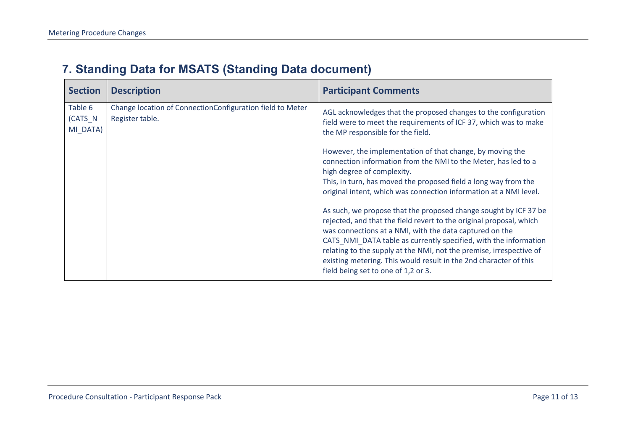#### **7. Standing Data for MSATS (Standing Data document)**

<span id="page-10-0"></span>

| <b>Section</b>                 | <b>Description</b>                                                           | <b>Participant Comments</b>                                                                                                                                                                                                                                                                                                                                                                                                                               |
|--------------------------------|------------------------------------------------------------------------------|-----------------------------------------------------------------------------------------------------------------------------------------------------------------------------------------------------------------------------------------------------------------------------------------------------------------------------------------------------------------------------------------------------------------------------------------------------------|
| Table 6<br>(CATS N<br>MI_DATA) | Change location of ConnectionConfiguration field to Meter<br>Register table. | AGL acknowledges that the proposed changes to the configuration<br>field were to meet the requirements of ICF 37, which was to make<br>the MP responsible for the field.                                                                                                                                                                                                                                                                                  |
|                                |                                                                              | However, the implementation of that change, by moving the<br>connection information from the NMI to the Meter, has led to a<br>high degree of complexity.<br>This, in turn, has moved the proposed field a long way from the<br>original intent, which was connection information at a NMI level.                                                                                                                                                         |
|                                |                                                                              | As such, we propose that the proposed change sought by ICF 37 be<br>rejected, and that the field revert to the original proposal, which<br>was connections at a NMI, with the data captured on the<br>CATS_NMI_DATA table as currently specified, with the information<br>relating to the supply at the NMI, not the premise, irrespective of<br>existing metering. This would result in the 2nd character of this<br>field being set to one of 1,2 or 3. |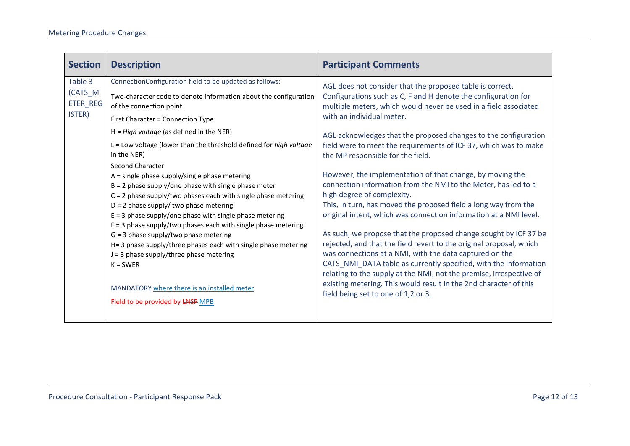| <b>Section</b>                           | <b>Description</b>                                                                                                                                                                                                                                                                                                                                                                                                                                                                                                                                                                                                                                                                                                                                                                                                                                                                                                                                                                | <b>Participant Comments</b>                                                                                                                                                                                                                                                                                                                                                                                                                                                                                                                                                                                                                                                                                                                                                                                                                                                                                                                                                                                                                                                                                                                                                |
|------------------------------------------|-----------------------------------------------------------------------------------------------------------------------------------------------------------------------------------------------------------------------------------------------------------------------------------------------------------------------------------------------------------------------------------------------------------------------------------------------------------------------------------------------------------------------------------------------------------------------------------------------------------------------------------------------------------------------------------------------------------------------------------------------------------------------------------------------------------------------------------------------------------------------------------------------------------------------------------------------------------------------------------|----------------------------------------------------------------------------------------------------------------------------------------------------------------------------------------------------------------------------------------------------------------------------------------------------------------------------------------------------------------------------------------------------------------------------------------------------------------------------------------------------------------------------------------------------------------------------------------------------------------------------------------------------------------------------------------------------------------------------------------------------------------------------------------------------------------------------------------------------------------------------------------------------------------------------------------------------------------------------------------------------------------------------------------------------------------------------------------------------------------------------------------------------------------------------|
| Table 3<br>(CATS_M<br>ETER_REG<br>ISTER) | ConnectionConfiguration field to be updated as follows:<br>Two-character code to denote information about the configuration<br>of the connection point.<br>First Character = Connection Type<br>$H = High voltage$ (as defined in the NER)<br>L = Low voltage (lower than the threshold defined for high voltage<br>in the NER)<br><b>Second Character</b><br>$A =$ single phase supply/single phase metering<br>$B = 2$ phase supply/one phase with single phase meter<br>$C = 2$ phase supply/two phases each with single phase metering<br>$D = 2$ phase supply/ two phase metering<br>$E = 3$ phase supply/one phase with single phase metering<br>$F = 3$ phase supply/two phases each with single phase metering<br>$G = 3$ phase supply/two phase metering<br>H= 3 phase supply/three phases each with single phase metering<br>$J = 3$ phase supply/three phase metering<br>$K = SWER$<br>MANDATORY where there is an installed meter<br>Field to be provided by LNSP MPB | AGL does not consider that the proposed table is correct.<br>Configurations such as C, F and H denote the configuration for<br>multiple meters, which would never be used in a field associated<br>with an individual meter.<br>AGL acknowledges that the proposed changes to the configuration<br>field were to meet the requirements of ICF 37, which was to make<br>the MP responsible for the field.<br>However, the implementation of that change, by moving the<br>connection information from the NMI to the Meter, has led to a<br>high degree of complexity.<br>This, in turn, has moved the proposed field a long way from the<br>original intent, which was connection information at a NMI level.<br>As such, we propose that the proposed change sought by ICF 37 be<br>rejected, and that the field revert to the original proposal, which<br>was connections at a NMI, with the data captured on the<br>CATS_NMI_DATA table as currently specified, with the information<br>relating to the supply at the NMI, not the premise, irrespective of<br>existing metering. This would result in the 2nd character of this<br>field being set to one of 1,2 or 3. |